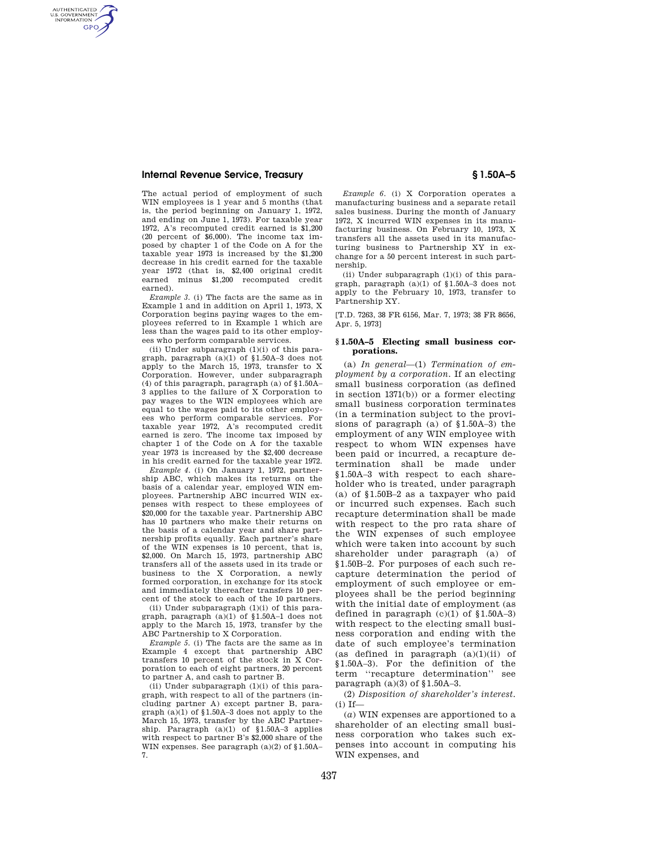### **Internal Revenue Service, Treasury § 1.50A–5**

AUTHENTICATED<br>U.S. GOVERNMENT<br>INFORMATION **GPO** 

> The actual period of employment of such WIN employees is 1 year and 5 months (that is, the period beginning on January 1, 1972, and ending on June 1, 1973). For taxable year 1972, A's recomputed credit earned is \$1,200 (20 percent of \$6,000). The income tax imposed by chapter 1 of the Code on A for the taxable year 1973 is increased by the \$1,200 decrease in his credit earned for the taxable year 1972 (that is, \$2,400 original credit earned minus \$1,200 recomputed credit earned).

> *Example 3.* (i) The facts are the same as in Example 1 and in addition on April 1, 1973, X Corporation begins paying wages to the employees referred to in Example 1 which are less than the wages paid to its other employees who perform comparable services.

> (ii) Under subparagraph  $(1)(i)$  of this paragraph, paragraph (a)(1) of §1.50A–3 does not apply to the March 15, 1973, transfer to X Corporation. However, under subparagraph (4) of this paragraph, paragraph (a) of §1.50A– 3 applies to the failure of X Corporation to pay wages to the WIN employees which are equal to the wages paid to its other employees who perform comparable services. For taxable year 1972, A's recomputed credit earned is zero. The income tax imposed by chapter 1 of the Code on A for the taxable year 1973 is increased by the \$2,400 decrease in his credit earned for the taxable year 1972.

> *Example 4.* (i) On January 1, 1972, partnership ABC, which makes its returns on the basis of a calendar year, employed WIN employees. Partnership ABC incurred WIN expenses with respect to these employees of \$20,000 for the taxable year. Partnership ABC has 10 partners who make their returns on the basis of a calendar year and share partnership profits equally. Each partner's share of the WIN expenses is 10 percent, that is, \$2,000. On March 15, 1973, partnership ABC transfers all of the assets used in its trade or business to the X Corporation, a newly formed corporation, in exchange for its stock and immediately thereafter transfers 10 percent of the stock to each of the 10 partners.

> (ii) Under subparagraph (1)(i) of this paragraph, paragraph (a)(1) of §1.50A–1 does not apply to the March 15, 1973, transfer by the ABC Partnership to X Corporation.

> *Example 5.* (i) The facts are the same as in Example 4 except that partnership ABC transfers 10 percent of the stock in X Corporation to each of eight partners, 20 percent to partner A, and cash to partner B.

> (ii) Under subparagraph  $(1)(i)$  of this paragraph, with respect to all of the partners (including partner A) except partner B, paragraph (a)(1) of §1.50A–3 does not apply to the March 15, 1973, transfer by the ABC Partnership. Paragraph (a)(1) of §1.50A–3 applies with respect to partner B's \$2,000 share of the WIN expenses. See paragraph (a)(2) of §1.50A– 7.

*Example 6.* (i) X Corporation operates a manufacturing business and a separate retail sales business. During the month of January 1972, X incurred WIN expenses in its manufacturing business. On February 10, 1973, X transfers all the assets used in its manufacturing business to Partnership XY in exchange for a 50 percent interest in such partnership.

(ii) Under subparagraph (1)(i) of this paragraph, paragraph (a)(1) of §1.50A–3 does not apply to the February 10, 1973, transfer to Partnership XY.

[T.D. 7263, 38 FR 6156, Mar. 7, 1973; 38 FR 8656, Apr. 5, 1973]

#### **§ 1.50A–5 Electing small business corporations.**

(a) *In general*—(1) *Termination of employment by a corporation.* If an electing small business corporation (as defined in section 1371(b)) or a former electing small business corporation terminates (in a termination subject to the provisions of paragraph (a) of §1.50A–3) the employment of any WIN employee with respect to whom WIN expenses have been paid or incurred, a recapture determination shall be made under §1.50A–3 with respect to each shareholder who is treated, under paragraph (a) of §1.50B–2 as a taxpayer who paid or incurred such expenses. Each such recapture determination shall be made with respect to the pro rata share of the WIN expenses of such employee which were taken into account by such shareholder under paragraph (a) of §1.50B–2. For purposes of each such recapture determination the period of employment of such employee or employees shall be the period beginning with the initial date of employment (as defined in paragraph  $(c)(1)$  of  $$1.50A-3)$ with respect to the electing small business corporation and ending with the date of such employee's termination (as defined in paragraph  $(a)(1)(ii)$  of §1.50A–3). For the definition of the term ''recapture determination'' see paragraph  $(a)(3)$  of  $§1.50A-3$ .

(2) *Disposition of shareholder's interest.*   $(i)$  If-

(*a*) WIN expenses are apportioned to a shareholder of an electing small business corporation who takes such expenses into account in computing his WIN expenses, and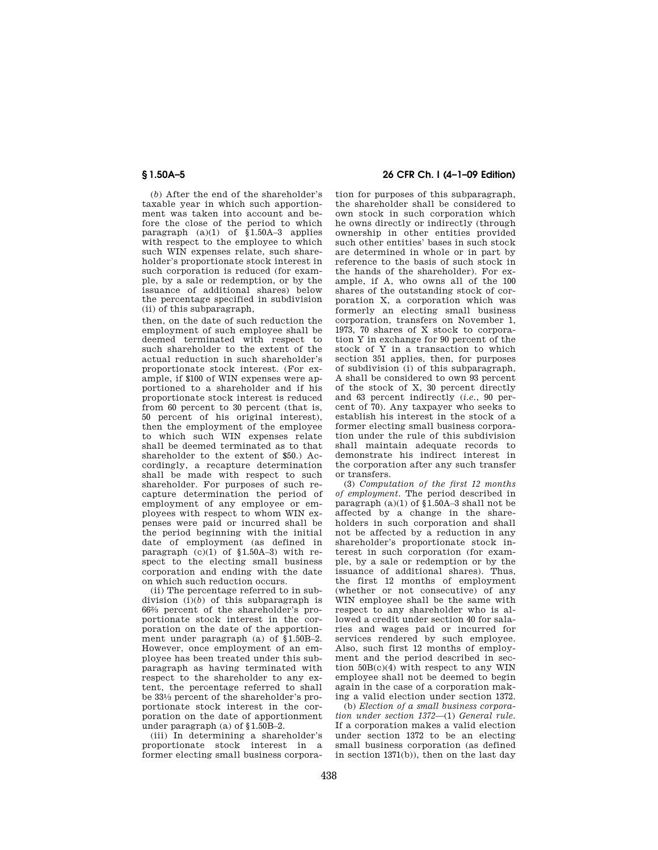(*b*) After the end of the shareholder's taxable year in which such apportionment was taken into account and before the close of the period to which paragraph  $(a)(1)$  of  $$1.50A-3$  applies with respect to the employee to which such WIN expenses relate, such shareholder's proportionate stock interest in such corporation is reduced (for example, by a sale or redemption, or by the issuance of additional shares) below the percentage specified in subdivision (ii) of this subparagraph,

then, on the date of such reduction the employment of such employee shall be deemed terminated with respect to such shareholder to the extent of the actual reduction in such shareholder's proportionate stock interest. (For example, if \$100 of WIN expenses were apportioned to a shareholder and if his proportionate stock interest is reduced from 60 percent to 30 percent (that is, 50 percent of his original interest), then the employment of the employee to which such WIN expenses relate shall be deemed terminated as to that shareholder to the extent of \$50.) Accordingly, a recapture determination shall be made with respect to such shareholder. For purposes of such recapture determination the period of employment of any employee or employees with respect to whom WIN expenses were paid or incurred shall be the period beginning with the initial date of employment (as defined in paragraph  $(c)(1)$  of  $$1.50A-3$ ) with respect to the electing small business corporation and ending with the date on which such reduction occurs.

(ii) The percentage referred to in subdivision (i)(*b*) of this subparagraph is 662⁄3 percent of the shareholder's proportionate stock interest in the corporation on the date of the apportionment under paragraph (a) of §1.50B–2. However, once employment of an employee has been treated under this subparagraph as having terminated with respect to the shareholder to any extent, the percentage referred to shall be 331⁄3 percent of the shareholder's proportionate stock interest in the corporation on the date of apportionment under paragraph (a) of §1.50B–2.

(iii) In determining a shareholder's proportionate stock interest in a former electing small business corpora-

# **§ 1.50A–5 26 CFR Ch. I (4–1–09 Edition)**

tion for purposes of this subparagraph, the shareholder shall be considered to own stock in such corporation which he owns directly or indirectly (through ownership in other entities provided such other entities' bases in such stock are determined in whole or in part by reference to the basis of such stock in the hands of the shareholder). For example, if A, who owns all of the 100 shares of the outstanding stock of corporation X, a corporation which was formerly an electing small business corporation, transfers on November 1, 1973, 70 shares of X stock to corporation Y in exchange for 90 percent of the stock of Y in a transaction to which section 351 applies, then, for purposes of subdivision (i) of this subparagraph, A shall be considered to own 93 percent of the stock of X, 30 percent directly and 63 percent indirectly (*i.e.*, 90 percent of 70). Any taxpayer who seeks to establish his interest in the stock of a former electing small business corporation under the rule of this subdivision shall maintain adequate records to demonstrate his indirect interest in the corporation after any such transfer or transfers.

(3) *Computation of the first 12 months of employment.* The period described in paragraph  $(a)(1)$  of  $$1.50A-3$  shall not be affected by a change in the shareholders in such corporation and shall not be affected by a reduction in any shareholder's proportionate stock interest in such corporation (for example, by a sale or redemption or by the issuance of additional shares). Thus, the first 12 months of employment (whether or not consecutive) of any WIN employee shall be the same with respect to any shareholder who is allowed a credit under section 40 for salaries and wages paid or incurred for services rendered by such employee. Also, such first 12 months of employment and the period described in section 50B(c)(4) with respect to any WIN employee shall not be deemed to begin again in the case of a corporation making a valid election under section 1372.

(b) *Election of a small business corporation under section 1372*—(1) *General rule.*  If a corporation makes a valid election under section 1372 to be an electing small business corporation (as defined in section 1371(b)), then on the last day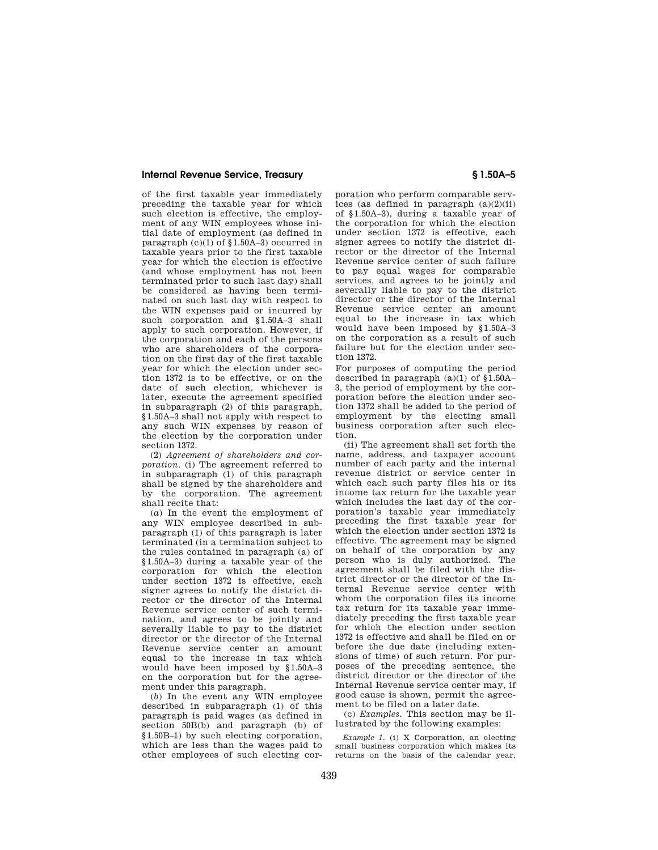#### **Internal Revenue Service, Treasury § 1.50A–5**

of the first taxable year immediately preceding the taxable year for which such election is effective, the employment of any WIN employees whose initial date of employment (as defined in paragraph (c)(1) of §1.50A–3) occurred in taxable years prior to the first taxable year for which the election is effective (and whose employment has not been terminated prior to such last day) shall be considered as having been terminated on such last day with respect to the WIN expenses paid or incurred by such corporation and §1.50A–3 shall apply to such corporation. However, if the corporation and each of the persons who are shareholders of the corporation on the first day of the first taxable year for which the election under section 1372 is to be effective, or on the date of such election, whichever is later, execute the agreement specified in subparagraph (2) of this paragraph, §1.50A–3 shall not apply with respect to any such WIN expenses by reason of the election by the corporation under section 1372.

(2) *Agreement of shareholders and corporation.* (i) The agreement referred to in subparagraph (1) of this paragraph shall be signed by the shareholders and by the corporation. The agreement shall recite that:

(*a*) In the event the employment of any WIN employee described in subparagraph (1) of this paragraph is later terminated (in a termination subject to the rules contained in paragraph (a) of §1.50A–3) during a taxable year of the corporation for which the election under section 1372 is effective, each signer agrees to notify the district director or the director of the Internal Revenue service center of such termination, and agrees to be jointly and severally liable to pay to the district director or the director of the Internal Revenue service center an amount equal to the increase in tax which would have been imposed by §1.50A–3 on the corporation but for the agreement under this paragraph.

(*b*) In the event any WIN employee described in subparagraph (1) of this paragraph is paid wages (as defined in section 50B(b) and paragraph (b) of §1.50B–1) by such electing corporation, which are less than the wages paid to other employees of such electing cor-

poration who perform comparable services (as defined in paragraph  $(a)(2)(ii)$ of §1.50A–3), during a taxable year of the corporation for which the election under section 1372 is effective, each signer agrees to notify the district director or the director of the Internal Revenue service center of such failure to pay equal wages for comparable services, and agrees to be jointly and severally liable to pay to the district director or the director of the Internal Revenue service center an amount equal to the increase in tax which would have been imposed by §1.50A–3 on the corporation as a result of such failure but for the election under section 1372.

For purposes of computing the period described in paragraph  $(a)(1)$  of  $§1.50A-$ 3, the period of employment by the corporation before the election under section 1372 shall be added to the period of employment by the electing small business corporation after such election.

(ii) The agreement shall set forth the name, address, and taxpayer account number of each party and the internal revenue district or service center in which each such party files his or its income tax return for the taxable year which includes the last day of the corporation's taxable year immediately preceding the first taxable year for which the election under section 1372 is effective. The agreement may be signed on behalf of the corporation by any person who is duly authorized. The agreement shall be filed with the district director or the director of the Internal Revenue service center with whom the corporation files its income tax return for its taxable year immediately preceding the first taxable year for which the election under section 1372 is effective and shall be filed on or before the due date (including extensions of time) of such return. For purposes of the preceding sentence, the district director or the director of the Internal Revenue service center may, if good cause is shown, permit the agreement to be filed on a later date.

(c) *Examples.* This section may be illustrated by the following examples:

*Example 1.* (i) X Corporation, an electing small business corporation which makes its returns on the basis of the calendar year,